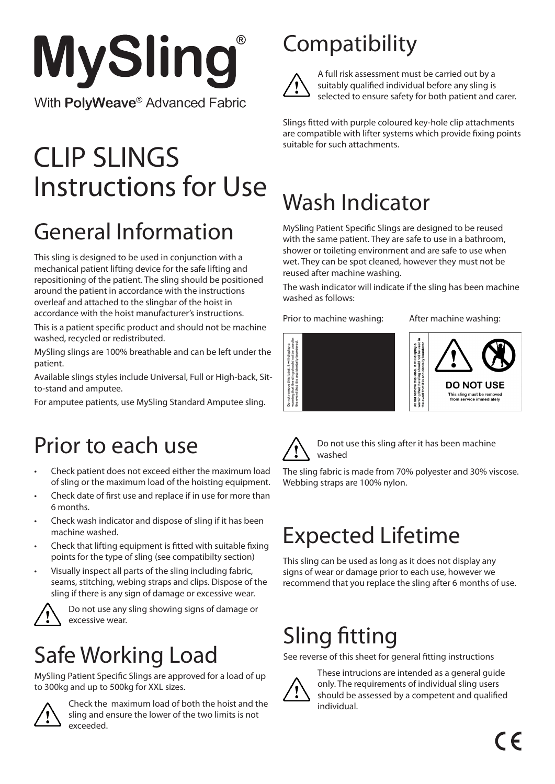

# Instructions for Use CLIP SLINGS

# General Information

This sling is designed to be used in conjunction with a mechanical patient lifting device for the safe lifting and repositioning of the patient. The sling should be positioned around the patient in accordance with the instructions overleaf and attached to the slingbar of the hoist in accordance with the hoist manufacturer's instructions.

This is a patient specific product and should not be machine washed, recycled or redistributed.

MySling slings are 100% breathable and can be left under the patient.

Available slings styles include Universal, Full or High-back, Sitto-stand and amputee.

For amputee patients, use MySling Standard Amputee sling.

#### Prior to each use

- Check patient does not exceed either the maximum load of sling or the maximum load of the hoisting equipment.
- Check date of first use and replace if in use for more than 6 months.
- Check wash indicator and dispose of sling if it has been machine washed.
- Check that lifting equipment is fitted with suitable fixing points for the type of sling (see compatibilty section)
- Visually inspect all parts of the sling including fabric, seams, stitching, webing straps and clips. Dispose of the sling if there is any sign of damage or excessive wear.



Do not use any sling showing signs of damage or excessive wear.

## Safe Working Load

MySling Patient Specific Slings are approved for a load of up to 300kg and up to 500kg for XXL sizes.



Check the maximum load of both the hoist and the sling and ensure the lower of the two limits is not exceeded.

## **Compatibility**



A full risk assessment must be carried out by a suitably qualified individual before any sling is selected to ensure safety for both patient and carer.

Slings fitted with purple coloured key-hole clip attachments are compatible with lifter systems which provide fixing points suitable for such attachments.

## Wash Indicator

MySling Patient Specific Slings are designed to be reused with the same patient. They are safe to use in a bathroom, shower or toileting environment and are safe to use when wet. They can be spot cleaned, however they must not be reused after machine washing.

The wash indicator will indicate if the sling has been machine washed as follows:

Prior to machine washing: After machine washing:







Do not use this sling after it has been machine washed

The sling fabric is made from 70% polyester and 30% viscose.

## Expected Lifetime

This sling can be used as long as it does not display any signs of wear or damage prior to each use, however we recommend that you replace the sling after 6 months of use.

## Sling fitting

See reverse of this sheet for general fitting instructions



These intrucions are intended as a general guide only. The requirements of individual sling users should be assessed by a competent and qualified individual.